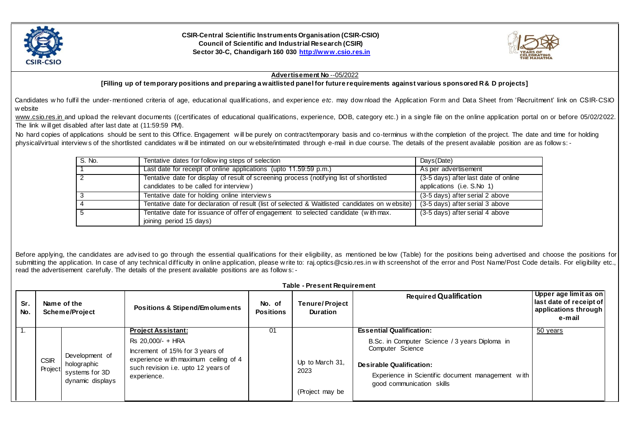

**CSIR-Central Scientific Instruments Organisation (CSIR-CSIO) Council of Scientific and Industrial Research (CSIR) Sector 30-C, Chandigarh 160 030 [http://www.csio.res.in](http://www.csio.res.in/)**



## **Advertisement No** --05/2022

**[Filling up of temporary positions and preparing a waitlisted panel for future requirements against various sponsored R & D projects]** 

Candidates w ho fulfil the under-mentioned criteria of age, educational qualifications, and experience *etc*. may dow nload the Application Form and Data Sheet from 'Recruitment' link on CSIR-CSIO w ebsite

[www.csio.res.in](http://www.csio.res.in/) and upload the relevant documents ((certificates of educational qualifications, experience, DOB, category etc.) in a single file on the online application portal on or before 05/02/2022. The link w ill get disabled after last date at (11:59:59 PM).

No hard copies of applications should be sent to this Office. Engagement will be purely on contract/temporary basis and co-terminus w ith the completion of the project. The date and time for holding physical/virtual interview s of the shortlisted candidates will be intimated on our w ebsite/intimated through e-mail in due course. The details of the present available position are as follow s: -

| S. No. | Tentative dates for following steps of selection                                               | Days(Date)                           |
|--------|------------------------------------------------------------------------------------------------|--------------------------------------|
|        | Last date for receipt of online applications (upto 11.59:59 p.m.)                              | As per advertisement                 |
| 2      | Tentative date for display of result of screening process (notifying list of shortlisted       | (3-5 days) after last date of online |
|        | candidates to be called for interview)                                                         | applications (i.e. S.No 1)           |
|        | Tentative date for holding online interviews                                                   | (3-5 days) after serial 2 above      |
|        | Tentative date for declaration of result (list of selected & Waitlisted candidates on website) | (3-5 days) after serial 3 above      |
|        | Tentative date for issuance of offer of engagement to selected candidate (with max.            | (3-5 days) after serial 4 above      |
|        | joining period 15 days)                                                                        |                                      |

Before applying, the candidates are advised to go through the essential qualifications for their eligibility, as mentioned be low (Table) for the positions being advertised and choose the positions for submitting the application. In case of any technical difficulty in online application, please w rite to: raj.optics@csio.res.in w ith screenshot of the error and Post Name/Post Code details. For eligibility etc., read the advertisement carefully. The details of the present available positions are as follow s: -

|            | Table - Present Requirement |                                                                     |                                                                                                                                                                                 |                            |                                            |                                                                                                                                                                                                                            |                                                                                    |
|------------|-----------------------------|---------------------------------------------------------------------|---------------------------------------------------------------------------------------------------------------------------------------------------------------------------------|----------------------------|--------------------------------------------|----------------------------------------------------------------------------------------------------------------------------------------------------------------------------------------------------------------------------|------------------------------------------------------------------------------------|
| Sr.<br>No. |                             | Name of the<br>Scheme/Project                                       | <b>Positions &amp; Stipend/Emoluments</b>                                                                                                                                       | No. of<br><b>Positions</b> | <b>Tenure/Project</b><br><b>Duration</b>   | <b>Required Qualification</b>                                                                                                                                                                                              | Upper age limit as on<br>last date of receipt of<br>applications through<br>e-mail |
| $-7.$      | <b>CSIR</b><br>Project      | Development of<br>holographic<br>systems for 3D<br>dynamic displays | <b>Project Assistant:</b><br>Rs 20,000/- + HRA<br>Increment of 15% for 3 years of<br>experience with maximum ceiling of 4<br>such revision i.e. upto 12 years of<br>experience. | 01                         | Up to March 31,<br>2023<br>(Project may be | <b>Essential Qualification:</b><br>B.Sc. in Computer Science / 3 years Diploma in<br>Computer Science<br><b>Desirable Qualification:</b><br>Experience in Scientific document management with<br>good communication skills | 50 years                                                                           |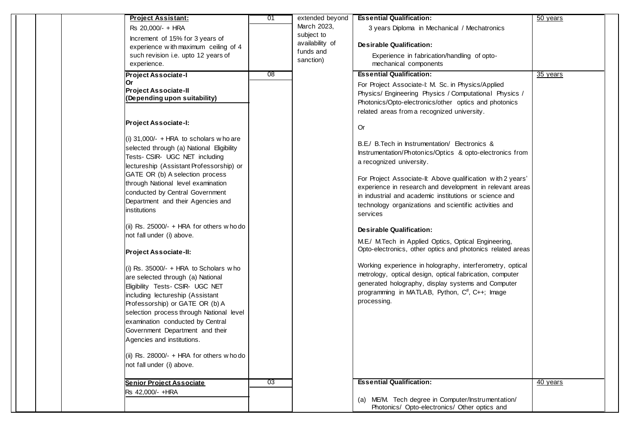|  | <b>Project Assistant:</b>                  | 01 | extended beyond | <b>Essential Qualification:</b>                             | 50 years |
|--|--------------------------------------------|----|-----------------|-------------------------------------------------------------|----------|
|  | Rs 20,000/- + HRA                          |    | March 2023,     | 3 years Diploma in Mechanical / Mechatronics                |          |
|  | Increment of 15% for 3 years of            |    | subject to      |                                                             |          |
|  | experience with maximum ceiling of 4       |    | availability of | <b>Desirable Qualification:</b>                             |          |
|  | such revision i.e. upto 12 years of        |    | funds and       |                                                             |          |
|  |                                            |    | sanction)       | Experience in fabrication/handling of opto-                 |          |
|  | experience.                                |    |                 | mechanical components                                       |          |
|  | <b>Project Associate-I</b>                 | 08 |                 | <b>Essential Qualification:</b>                             | 35 years |
|  | Or                                         |    |                 | For Project Associate-I: M. Sc. in Physics/Applied          |          |
|  | <b>Project Associate-II</b>                |    |                 | Physics/ Engineering Physics / Computational Physics /      |          |
|  | (Depending upon suitability)               |    |                 | Photonics/Opto-electronics/other optics and photonics       |          |
|  |                                            |    |                 | related areas from a recognized university.                 |          |
|  |                                            |    |                 |                                                             |          |
|  | <b>Project Associate-I:</b>                |    |                 | <b>Or</b>                                                   |          |
|  |                                            |    |                 |                                                             |          |
|  | (i) $31,000/-$ + HRA to scholars who are   |    |                 | B.E./ B. Tech in Instrumentation/ Electronics &             |          |
|  | selected through (a) National Eligibility  |    |                 | Instrumentation/Photonics/Optics & opto-electronics from    |          |
|  | Tests- CSIR- UGC NET including             |    |                 | a recognized university.                                    |          |
|  | lectureship (Assistant Professorship) or   |    |                 |                                                             |          |
|  | GATE OR (b) A selection process            |    |                 | For Project Associate-II: Above qualification with 2 years' |          |
|  | through National level examination         |    |                 | experience in research and development in relevant areas    |          |
|  | conducted by Central Government            |    |                 | in industrial and academic institutions or science and      |          |
|  | Department and their Agencies and          |    |                 |                                                             |          |
|  | institutions                               |    |                 | technology organizations and scientific activities and      |          |
|  |                                            |    |                 | services                                                    |          |
|  | (ii) Rs. $25000/- + HRA$ for others who do |    |                 |                                                             |          |
|  | not fall under (i) above.                  |    |                 | <b>Desirable Qualification:</b>                             |          |
|  |                                            |    |                 | M.E./ M.Tech in Applied Optics, Optical Engineering,        |          |
|  | <b>Project Associate-II:</b>               |    |                 | Opto-electronics, other optics and photonics related areas  |          |
|  |                                            |    |                 |                                                             |          |
|  | (i) Rs. $35000/- + HRA$ to Scholars who    |    |                 | Working experience in holography, interferometry, optical   |          |
|  | are selected through (a) National          |    |                 | metrology, optical design, optical fabrication, computer    |          |
|  | Eligibility Tests- CSIR- UGC NET           |    |                 | generated holography, display systems and Computer          |          |
|  | including lectureship (Assistant           |    |                 | programming in MATLAB, Python, C <sup>#</sup> , C++; Image  |          |
|  |                                            |    |                 | processing.                                                 |          |
|  | Professorship) or GATE OR (b) A            |    |                 |                                                             |          |
|  | selection process through National level   |    |                 |                                                             |          |
|  | examination conducted by Central           |    |                 |                                                             |          |
|  | Government Department and their            |    |                 |                                                             |          |
|  | Agencies and institutions.                 |    |                 |                                                             |          |
|  |                                            |    |                 |                                                             |          |
|  | (ii) Rs. 28000/- + HRA for others w ho do  |    |                 |                                                             |          |
|  | not fall under (i) above.                  |    |                 |                                                             |          |
|  |                                            |    |                 |                                                             |          |
|  | Senior Project Associate                   | 03 |                 | <b>Essential Qualification:</b>                             | 40 years |
|  | Rs 42,000/- +HRA                           |    |                 |                                                             |          |
|  |                                            |    |                 | (a) ME/M. Tech degree in Computer/Instrumentation/          |          |
|  |                                            |    |                 | Photonics/ Opto-electronics/ Other optics and               |          |
|  |                                            |    |                 |                                                             |          |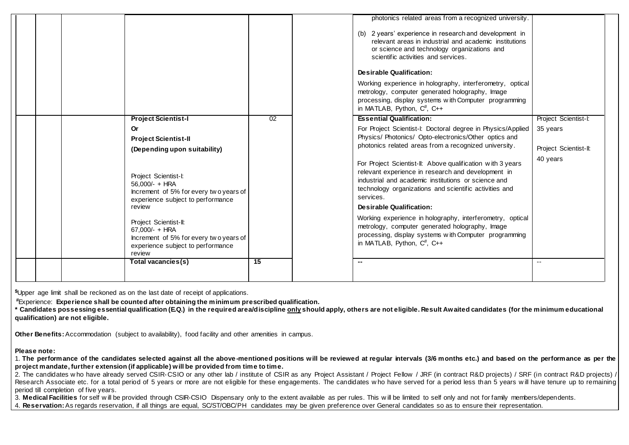|                                                                                                                                                                                                                                                                                                                                                                            |                 | photonics related areas from a recognized university.<br>(b) 2 years' experience in research and development in<br>relevant areas in industrial and academic institutions<br>or science and technology organizations and<br>scientific activities and services.<br><b>Desirable Qualification:</b><br>Working experience in holography, interferometry, optical<br>metrology, computer generated holography, Image<br>processing, display systems with Computer programming<br>in MATLAB, Python, $C^{\#}$ , $C_{++}$                                                                                                                                                                                             |                                                                       |
|----------------------------------------------------------------------------------------------------------------------------------------------------------------------------------------------------------------------------------------------------------------------------------------------------------------------------------------------------------------------------|-----------------|-------------------------------------------------------------------------------------------------------------------------------------------------------------------------------------------------------------------------------------------------------------------------------------------------------------------------------------------------------------------------------------------------------------------------------------------------------------------------------------------------------------------------------------------------------------------------------------------------------------------------------------------------------------------------------------------------------------------|-----------------------------------------------------------------------|
| <b>Project Scientist-I</b><br>Or<br><b>Project Scientist-II</b><br>(Depending upon suitability)<br>Project Scientist-I:<br>$56.000/- + HRA$<br>Increment of 5% for every two years of<br>experience subject to performance<br>review<br>Project Scientist-II:<br>$67.000 - + HRA$<br>Increment of 5% for every two years of<br>experience subject to performance<br>review | $\overline{02}$ | <b>Essential Qualification:</b><br>For Project Scientist-I: Doctoral degree in Physics/Applied<br>Physics/ Photonics/ Opto-electronics/Other optics and<br>photonics related areas from a recognized university.<br>For Project Scientist-II: Above qualification with 3 years<br>relevant experience in research and development in<br>industrial and academic institutions or science and<br>technology organizations and scientific activities and<br>services.<br>Desirable Qualification:<br>Working experience in holography, interferometry, optical<br>metrology, computer generated holography, Image<br>processing, display systems with Computer programming<br>in MATLAB, Python, $C^{\#}$ , $C_{++}$ | Project Scientist-I:<br>35 years<br>Project Scientist-II:<br>40 years |
| Total vacancies(s)                                                                                                                                                                                                                                                                                                                                                         | $\overline{15}$ | $\sim$                                                                                                                                                                                                                                                                                                                                                                                                                                                                                                                                                                                                                                                                                                            | $\overline{\phantom{a}}$                                              |

**\$**Upper age limit shall be reckoned as on the last date of receipt of applications.

**#**Experience: **Experience shall be counted after obtaining the minimum prescribed qualification.**

**\* Candidates possessing essential qualification (E.Q.) in the required area/discipline only should apply, others are not eligible. Result Awaited candidates (for the minimum educational qualification) are not eligible.**

**Other Benefits:** Accommodation (subject to availability), food facility and other amenities in campus.

## **Please note:**

1. **The performance of the candidates selected against all the above -mentioned positions will be reviewed at regular intervals (3/6 months etc.) and based on the performance as per the project mandate, further extension (if applicable) will be provided from time to time.** 

2. The candidates w ho have already served CSIR-CSIO or any other lab / institute of CSIR as any Project Assistant / Project Fellow / JRF (in contract R&D projects) / SRF (in contract R&D projects) / Research Associate etc. for a total period of 5 years or more are not eligible for these engagements. The candidates w ho have served for a period less than 5 years w ill have tenure up to remaining period till completion of five years.

3. **Medical Facilities** for self w ill be provided through CSIR-CSIO Dispensary only to the extent available as per rules. This w ill be limited to self only and not for family members/dependents.

4. **Reservation:**As regards reservation, if all things are equal, SC/ST/OBC/PH candidates may be given preference over General candidates so as to ensure their representation.